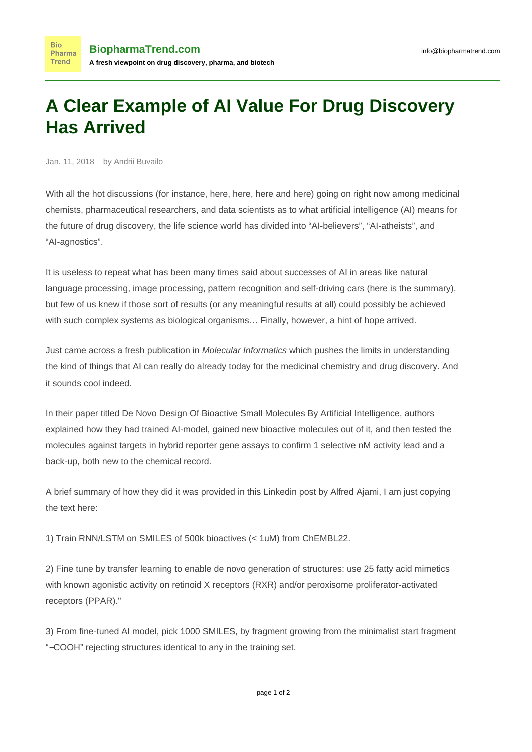## **A Clear Example of AI Value For Drug Discovery Has Arrived**

Jan. 11, 2018 by Andrii Buvailo

**Bio** 

With all the hot discussions (for instance, [here,](http://blogs.sciencemag.org/pipeline/archives/2018/01/10/objections-to-some-drug-discovery-ai) [here,](https://news.ycombinator.com/item?id=16079735) [here](https://www.linkedin.com/feed/update/urn:li:activity:6355978428625362945) and [here](https://medium.com/the-ai-lab/artificial-intelligence-in-drug-discovery-is-overhyped-examples-from-astrazeneca-harvard-315d69a7f863)) going on right now among medicinal chemists, pharmaceutical researchers, and data scientists as to what artificial intelligence (AI) means for the future of drug discovery, the life science world has divided into "AI-believers", "AI-atheists", and "AI-agnostics".

It is useless to repeat what has been many times said about successes of AI in areas like natural language processing, image processing, pattern recognition and self-driving cars ([here is the summary\)](http://www.businessinsider.com/artificial-intelligence-ai-most-impressive-achievements-2017-3/#travel-2), but few of us knew if those sort of results (or any meaningful results at all) could possibly be achieved with such complex systems as biological organisms… Finally, however, a hint of hope arrived.

Just came across a fresh publication in *Molecular Informatics* which pushes the limits in understanding the kind of things that AI can really do already today for the medicinal chemistry and drug discovery. And it sounds cool indeed.

In their paper titled [De Novo Design Of Bioactive Small Molecules By Artificial Intelligence](http://onlinelibrary.wiley.com/doi/10.1002/minf.201700153/full), authors explained how they had trained AI-model, gained new bioactive molecules out of it, and then tested the molecules against targets in hybrid reporter gene assays to confirm 1 selective nM activity lead and a back-up, both new to the chemical record.

A brief summary of how they did it was provided in [this Linkedin post](https://www.linkedin.com/feed/update/urn:li:activity:6357208554159566848) by [Alfred Ajami,](https://www.biopharmatrend.com/contributor/alfred-ajami/) I am just copying the text here:

1) Train RNN/LSTM on SMILES of 500k bioactives (< 1uM) from ChEMBL22.

2) Fine tune by transfer learning to enable de novo generation of structures: use 25 fatty acid mimetics with known agonistic activity on retinoid X receptors (RXR) and/or peroxisome proliferator-activated receptors (PPAR)."

3) From fine-tuned AI model, pick 1000 SMILES, by fragment growing from the minimalist start fragment "−COOH" rejecting structures identical to any in the training set.